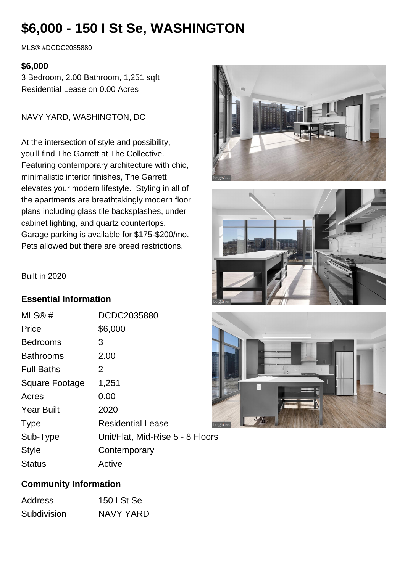# **\$6,000 - 150 I St Se, WASHINGTON**

MLS® #DCDC2035880

#### **\$6,000**

3 Bedroom, 2.00 Bathroom, 1,251 sqft Residential Lease on 0.00 Acres

NAVY YARD, WASHINGTON, DC

At the intersection of style and possibility, you'll find The Garrett at The Collective. Featuring contemporary architecture with chic, minimalistic interior finishes, The Garrett elevates your modern lifestyle. Styling in all of the apartments are breathtakingly modern floor plans including glass tile backsplashes, under cabinet lighting, and quartz countertops. Garage parking is available for \$175-\$200/mo. Pets allowed but there are breed restrictions.







#### Built in 2020

#### **Essential Information**

| MLS®#             | DCDC2035880                      |
|-------------------|----------------------------------|
| Price             | \$6,000                          |
| <b>Bedrooms</b>   | 3                                |
| <b>Bathrooms</b>  | 2.00                             |
| <b>Full Baths</b> | 2                                |
| Square Footage    | 1,251                            |
| Acres             | 0.00                             |
| <b>Year Built</b> | 2020                             |
| <b>Type</b>       | <b>Residential Lease</b><br>br   |
| Sub-Type          | Unit/Flat, Mid-Rise 5 - 8 Floors |
| <b>Style</b>      | Contemporary                     |
| <b>Status</b>     | Active                           |

# **Community Information**

| <b>Address</b> | 150   St Se |
|----------------|-------------|
| Subdivision    | NAVY YARD   |